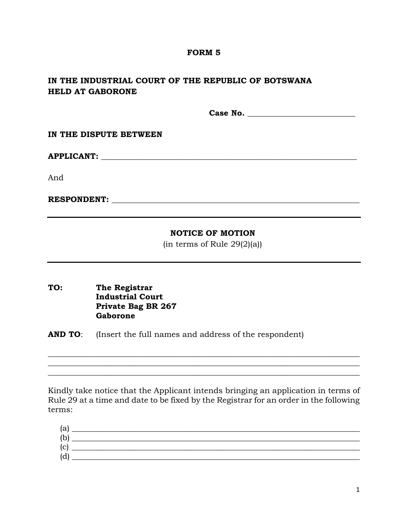## **FORM 5**

## **IN THE INDUSTRIAL COURT OF THE REPUBLIC OF BOTSWANA HELD AT GABORONE**

**Case No.** \_\_\_\_\_\_\_\_\_\_\_\_\_\_\_\_\_\_\_\_\_\_\_\_\_\_\_

**IN THE DISPUTE BETWEEN**

**APPLICANT: \_\_\_\_\_\_\_\_\_\_\_\_\_\_\_\_\_\_\_\_\_\_\_\_\_\_\_\_\_\_\_\_\_\_\_\_\_\_\_\_\_\_\_\_\_\_\_\_\_\_\_\_\_\_\_\_\_\_\_\_\_\_\_\_**

And

**RESPONDENT:**  $\blacksquare$ 

## **NOTICE OF MOTION**

(in terms of Rule 29(2)(a))

**TO: The Registrar Industrial Court Private Bag BR 267 Gaborone**

**AND TO**: (Insert the full names and address of the respondent)

Kindly take notice that the Applicant intends bringing an application in terms of Rule 29 at a time and date to be fixed by the Registrar for an order in the following terms:

\_\_\_\_\_\_\_\_\_\_\_\_\_\_\_\_\_\_\_\_\_\_\_\_\_\_\_\_\_\_\_\_\_\_\_\_\_\_\_\_\_\_\_\_\_\_\_\_\_\_\_\_\_\_\_\_\_\_\_\_\_\_\_\_\_\_\_\_\_\_\_\_\_\_\_\_\_\_ \_\_\_\_\_\_\_\_\_\_\_\_\_\_\_\_\_\_\_\_\_\_\_\_\_\_\_\_\_\_\_\_\_\_\_\_\_\_\_\_\_\_\_\_\_\_\_\_\_\_\_\_\_\_\_\_\_\_\_\_\_\_\_\_\_\_\_\_\_\_\_\_\_\_\_\_\_\_